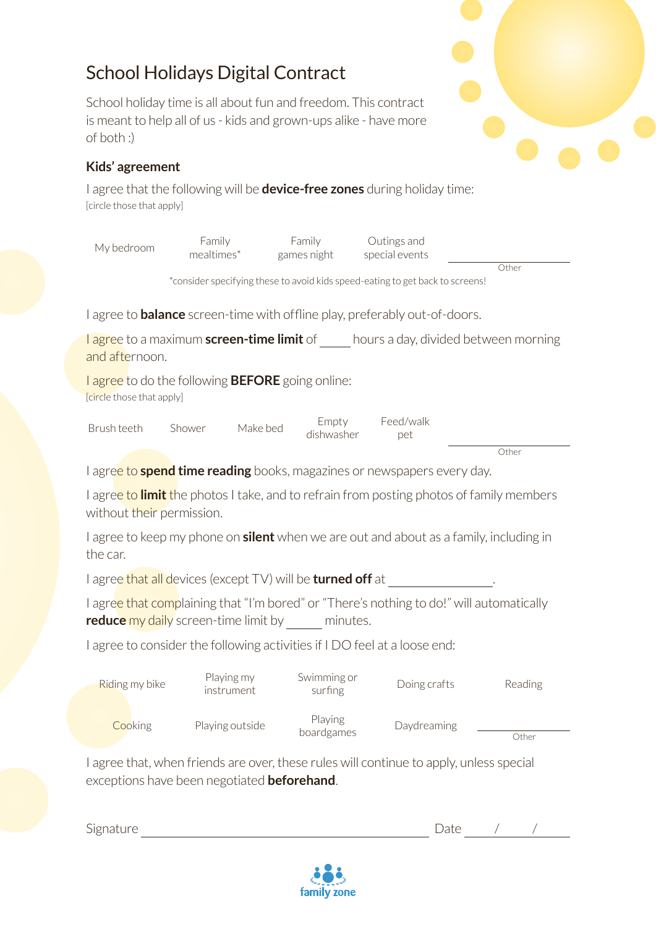## School Holidays Digital Contract

School holiday time is all about fun and freedom. This contract is meant to help all of us - kids and grown-ups alike - have more of both :)

## **Kids' agreement**

I agree that the following will be **device-free zones** during holiday time: [circle those that apply]

| My bedroom                                                                                                                                       | Family<br>mealtimes*                                | Family<br>games night  | Outings and<br>special events                                                           |         |  |  |  |  |  |  |
|--------------------------------------------------------------------------------------------------------------------------------------------------|-----------------------------------------------------|------------------------|-----------------------------------------------------------------------------------------|---------|--|--|--|--|--|--|
| Other<br>*consider specifying these to avoid kids speed-eating to get back to screens!                                                           |                                                     |                        |                                                                                         |         |  |  |  |  |  |  |
| I agree to <b>balance</b> screen-time with offline play, preferably out-of-doors.                                                                |                                                     |                        |                                                                                         |         |  |  |  |  |  |  |
| <b>lagree</b> to a maximum <b>screen-time limit</b> of ____ hours a day, divided between morning<br>and afternoon.                               |                                                     |                        |                                                                                         |         |  |  |  |  |  |  |
| l agree to do the following <b>BEFORE</b> going online:<br>[circle those that apply]                                                             |                                                     |                        |                                                                                         |         |  |  |  |  |  |  |
| Brush teeth                                                                                                                                      | Make bed<br>Shower                                  | Empty<br>dishwasher    | Feed/walk<br>pet                                                                        |         |  |  |  |  |  |  |
|                                                                                                                                                  |                                                     |                        |                                                                                         | Other   |  |  |  |  |  |  |
|                                                                                                                                                  |                                                     |                        | I agree to <b>spend time reading</b> books, magazines or newspapers every day.          |         |  |  |  |  |  |  |
| I agre <mark>e to <b>limit</b> t</mark> he photos I take, and to refrain from posting photos of family members<br>without their permission.      |                                                     |                        |                                                                                         |         |  |  |  |  |  |  |
| I agree to keep my phone on <b>silent</b> when we are out and about as a family, including in<br>the car.                                        |                                                     |                        |                                                                                         |         |  |  |  |  |  |  |
| I agree that all devices (except TV) will be turned off at _______________.                                                                      |                                                     |                        |                                                                                         |         |  |  |  |  |  |  |
| I agree that complaining that "I'm bored" or "There's nothing to do!" will automatically<br>reduce my daily screen-time limit by ______ minutes. |                                                     |                        |                                                                                         |         |  |  |  |  |  |  |
| I agree to consider the following activities if I DO feel at a loose end:                                                                        |                                                     |                        |                                                                                         |         |  |  |  |  |  |  |
| Riding my bike                                                                                                                                   | Playing my<br>instrument                            | Swimming or<br>surfing | Doing crafts                                                                            | Reading |  |  |  |  |  |  |
| Cooking                                                                                                                                          | Playing outside                                     | Playing<br>boardgames  | Daydreaming                                                                             | Other   |  |  |  |  |  |  |
|                                                                                                                                                  | exceptions have been negotiated <b>beforehand</b> . |                        | I agree that, when friends are over, these rules will continue to apply, unless special |         |  |  |  |  |  |  |



Signature Date / / /